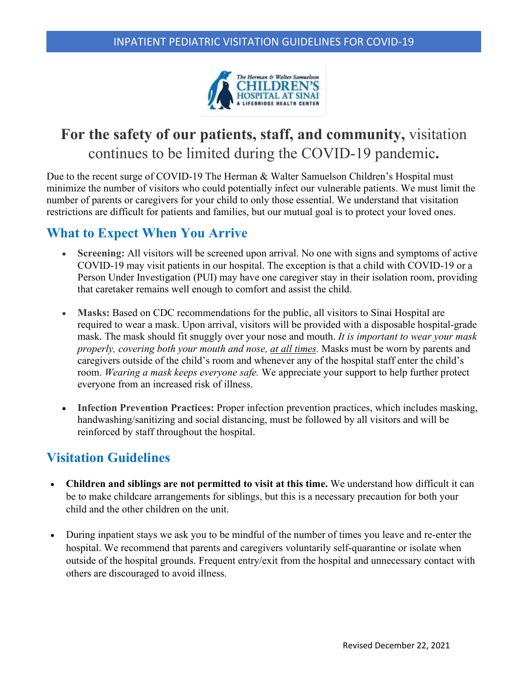

# **For the safety of our patients, staff, and community,** visitation continues to be limited during the COVID-19 pandemic**.**

Due to the recent surge of COVID-19 The Herman & Walter Samuelson Children's Hospital must minimize the number of visitors who could potentially infect our vulnerable patients. We must limit the number of parents or caregivers for your child to only those essential. We understand that visitation restrictions are difficult for patients and families, but our mutual goal is to protect your loved ones.

## **What to Expect When You Arrive**

- **Screening:** All visitors will be screened upon arrival. No one with signs and symptoms of active COVID-19 may visit patients in our hospital. The exception is that a child with COVID-19 or a Person Under Investigation (PUI) may have one caregiver stay in their isolation room, providing that caretaker remains well enough to comfort and assist the child.
- **Masks:** Based on CDC recommendations for the public, all visitors to Sinai Hospital are required to wear a mask. Upon arrival, visitors will be provided with a disposable hospital-grade mask. The mask should fit snuggly over your nose and mouth. *It is important to wear your mask properly, covering both your mouth and nose, at all times.* Masks must be worn by parents and caregivers outside of the child's room and whenever any of the hospital staff enter the child's room. *Wearing a mask keeps everyone safe.* We appreciate your support to help further protect everyone from an increased risk of illness.
- **Infection Prevention Practices:** Proper infection prevention practices, which includes masking, handwashing/sanitizing and social distancing, must be followed by all visitors and will be reinforced by staff throughout the hospital.

### **Visitation Guidelines**

- **Children and siblings are not permitted to visit at this time.** We understand how difficult it can be to make childcare arrangements for siblings, but this is a necessary precaution for both your child and the other children on the unit.
- During inpatient stays we ask you to be mindful of the number of times you leave and re-enter the hospital. We recommend that parents and caregivers voluntarily self-quarantine or isolate when outside of the hospital grounds. Frequent entry/exit from the hospital and unnecessary contact with others are discouraged to avoid illness.